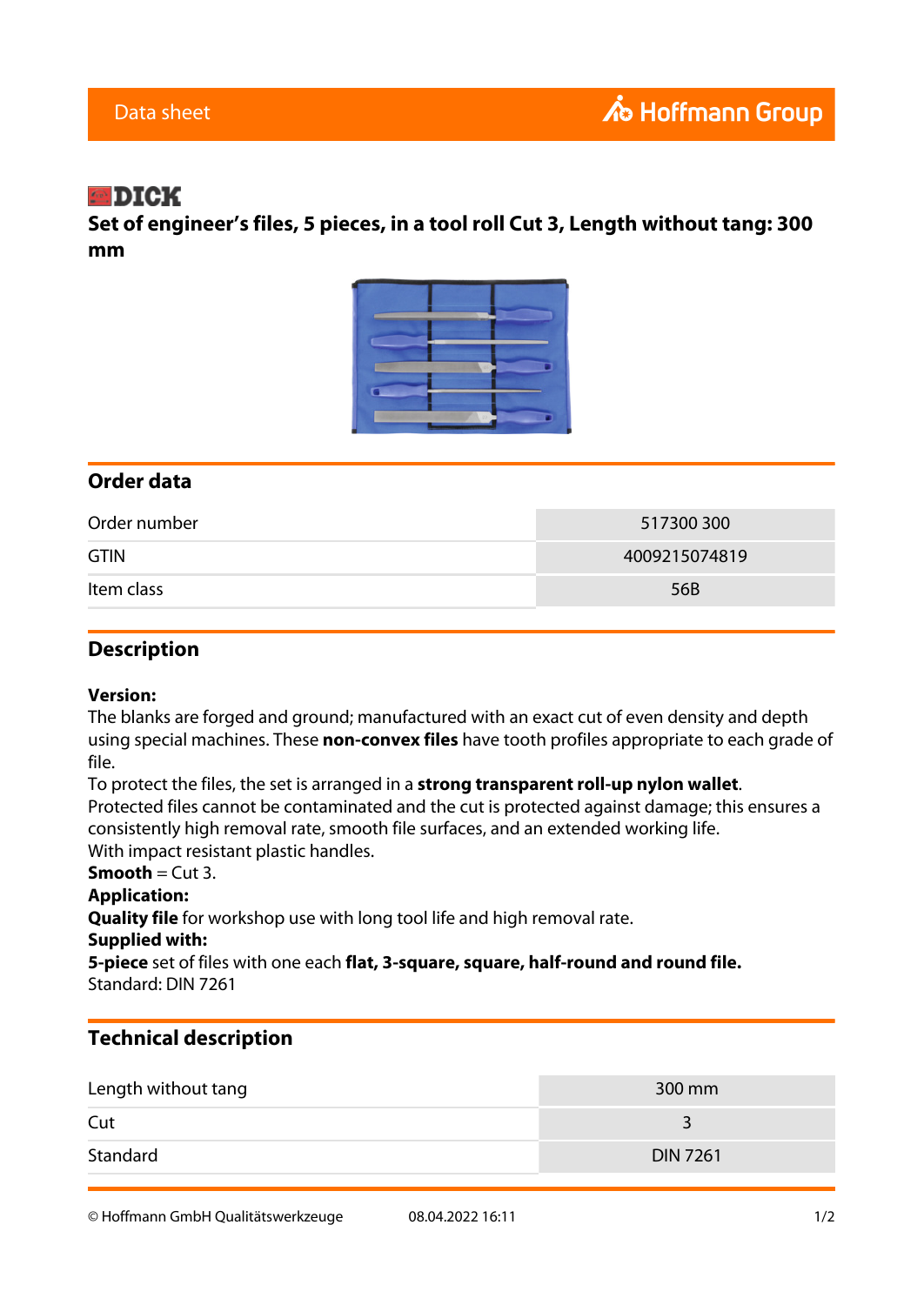# $\blacksquare$ DICK

**Set of engineer's files, 5 pieces, in a tool roll Cut 3, Length without tang: 300 mm**



### **Order data**

| Order number | 517300300     |
|--------------|---------------|
| <b>GTIN</b>  | 4009215074819 |
| Item class   | 56B           |

### **Description**

#### **Version:**

The blanks are forged and ground; manufactured with an exact cut of even density and depth using special machines. These **non-convex files** have tooth profiles appropriate to each grade of file.

To protect the files, the set is arranged in a **strong transparent roll-up nylon wallet**. Protected files cannot be contaminated and the cut is protected against damage; this ensures a consistently high removal rate, smooth file surfaces, and an extended working life. With impact resistant plastic handles.

## **Smooth** =  $Cut 3$ .

### **Application:**

**Quality file** for workshop use with long tool life and high removal rate.

#### **Supplied with:**

**5-piece** set of files with one each **flat, 3-square, square, half-round and round file.** Standard: DIN 7261

### **Technical description**

| Length without tang | $300 \text{ mm}$ |
|---------------------|------------------|
| Cut                 |                  |
| Standard            | <b>DIN 7261</b>  |